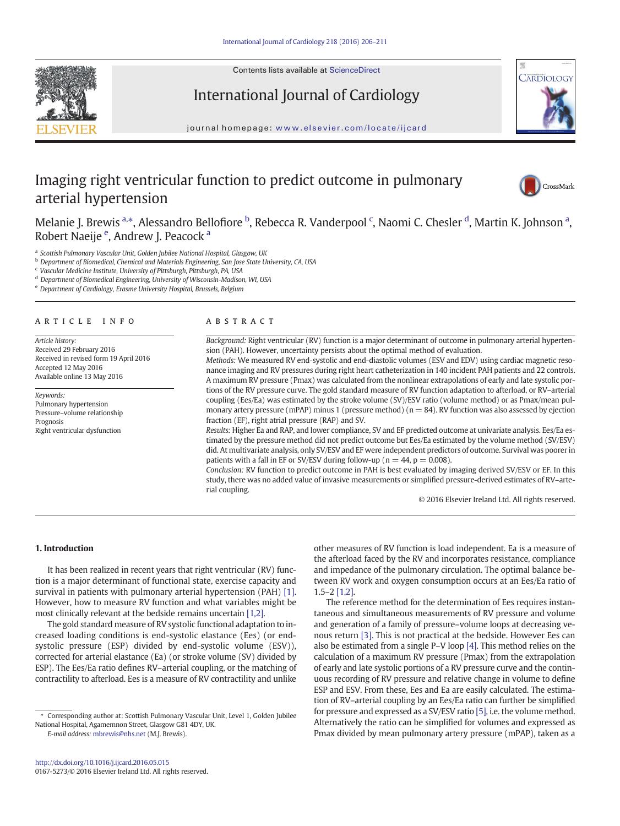

Contents lists available at [ScienceDirect](http://www.sciencedirect.com/science/journal/01675273)

International Journal of Cardiology



journal homepage: <www.elsevier.com/locate/ijcard>

# Imaging right ventricular function to predict outcome in pulmonary arterial hypertension



Melanie J. Brewis <sup>a,\*</sup>, Alessandro Bellofiore <sup>b</sup>, Rebecca R. Vanderpool <sup>c</sup>, Naomi C. Chesler <sup>d</sup>, Martin K. Johnson <sup>a</sup>, Robert Naeije<sup>e</sup>, Andrew J. Peacock<sup>a</sup>

a Scottish Pulmonary Vascular Unit, Golden Jubilee National Hospital, Glasgow, UK

b Department of Biomedical, Chemical and Materials Engineering, San Jose State University, CA, USA

 $c$  Vascular Medicine Institute, University of Pittsburgh, Pittsburgh, PA, USA

<sup>d</sup> Department of Biomedical Engineering, University of Wisconsin-Madison, WI, USA

<sup>e</sup> Department of Cardiology, Erasme University Hospital, Brussels, Belgium

# article info abstract

Article history: Received 29 February 2016 Received in revised form 19 April 2016 Accepted 12 May 2016 Available online 13 May 2016

Keywords: Pulmonary hypertension Pressure–volume relationship Prognosis Right ventricular dysfunction

Background: Right ventricular (RV) function is a major determinant of outcome in pulmonary arterial hypertension (PAH). However, uncertainty persists about the optimal method of evaluation.

Methods: We measured RV end-systolic and end-diastolic volumes (ESV and EDV) using cardiac magnetic resonance imaging and RV pressures during right heart catheterization in 140 incident PAH patients and 22 controls. A maximum RV pressure (Pmax) was calculated from the nonlinear extrapolations of early and late systolic portions of the RV pressure curve. The gold standard measure of RV function adaptation to afterload, or RV–arterial coupling (Ees/Ea) was estimated by the stroke volume (SV)/ESV ratio (volume method) or as Pmax/mean pulmonary artery pressure (mPAP) minus 1 (pressure method) ( $n = 84$ ). RV function was also assessed by ejection fraction (EF), right atrial pressure (RAP) and SV.

Results: Higher Ea and RAP, and lower compliance, SV and EF predicted outcome at univariate analysis. Ees/Ea estimated by the pressure method did not predict outcome but Ees/Ea estimated by the volume method (SV/ESV) did. At multivariate analysis, only SV/ESV and EF were independent predictors of outcome. Survival was poorer in patients with a fall in EF or SV/ESV during follow-up ( $n = 44$ ,  $p = 0.008$ ).

Conclusion: RV function to predict outcome in PAH is best evaluated by imaging derived SV/ESV or EF. In this study, there was no added value of invasive measurements or simplified pressure-derived estimates of RV–arterial coupling.

© 2016 Elsevier Ireland Ltd. All rights reserved.

#### 1. Introduction

It has been realized in recent years that right ventricular (RV) function is a major determinant of functional state, exercise capacity and survival in patients with pulmonary arterial hypertension (PAH) [\[1\].](#page-5-0) However, how to measure RV function and what variables might be most clinically relevant at the bedside remains uncertain [\[1,2\]](#page-5-0).

The gold standard measure of RV systolic functional adaptation to increased loading conditions is end-systolic elastance (Ees) (or endsystolic pressure (ESP) divided by end-systolic volume (ESV)), corrected for arterial elastance (Ea) (or stroke volume (SV) divided by ESP). The Ees/Ea ratio defines RV–arterial coupling, or the matching of contractility to afterload. Ees is a measure of RV contractility and unlike

E-mail address: [mbrewis@nhs.net](mailto:mbrewis@nhs.net) (M.J. Brewis).

other measures of RV function is load independent. Ea is a measure of the afterload faced by the RV and incorporates resistance, compliance and impedance of the pulmonary circulation. The optimal balance between RV work and oxygen consumption occurs at an Ees/Ea ratio of 1.5–2 [\[1,2\]](#page-5-0).

The reference method for the determination of Ees requires instantaneous and simultaneous measurements of RV pressure and volume and generation of a family of pressure–volume loops at decreasing venous return [\[3\]](#page-5-0). This is not practical at the bedside. However Ees can also be estimated from a single P–V loop [\[4\]](#page-5-0). This method relies on the calculation of a maximum RV pressure (Pmax) from the extrapolation of early and late systolic portions of a RV pressure curve and the continuous recording of RV pressure and relative change in volume to define ESP and ESV. From these, Ees and Ea are easily calculated. The estimation of RV–arterial coupling by an Ees/Ea ratio can further be simplified for pressure and expressed as a SV/ESV ratio [\[5\]](#page-5-0), i.e. the volume method. Alternatively the ratio can be simplified for volumes and expressed as Pmax divided by mean pulmonary artery pressure (mPAP), taken as a

<sup>⁎</sup> Corresponding author at: Scottish Pulmonary Vascular Unit, Level 1, Golden Jubilee National Hospital, Agamemnon Street, Glasgow G81 4DY, UK.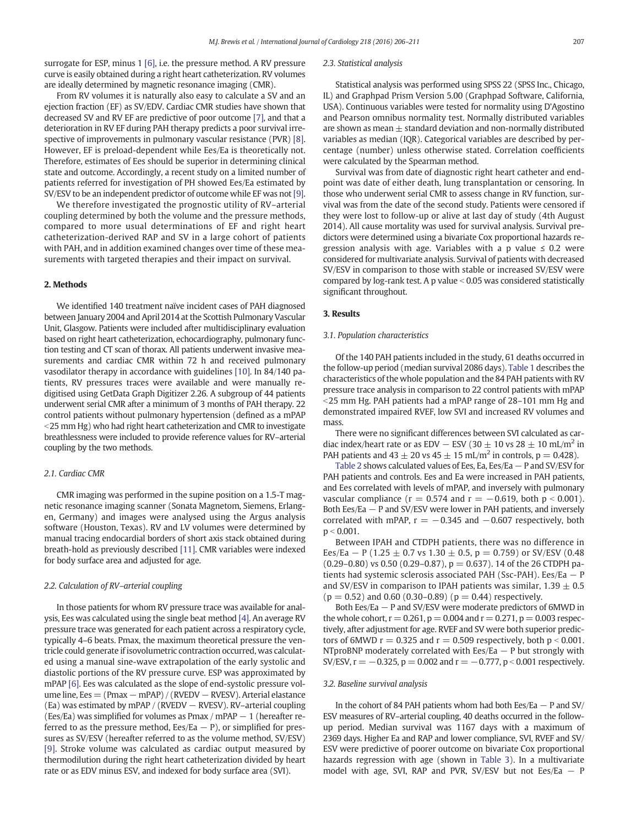surrogate for ESP, minus 1 [\[6\],](#page-5-0) i.e. the pressure method. A RV pressure curve is easily obtained during a right heart catheterization. RV volumes are ideally determined by magnetic resonance imaging (CMR).

From RV volumes it is naturally also easy to calculate a SV and an ejection fraction (EF) as SV/EDV. Cardiac CMR studies have shown that decreased SV and RV EF are predictive of poor outcome [\[7\]](#page-5-0), and that a deterioration in RV EF during PAH therapy predicts a poor survival irrespective of improvements in pulmonary vascular resistance (PVR) [\[8\].](#page-5-0) However, EF is preload-dependent while Ees/Ea is theoretically not. Therefore, estimates of Ees should be superior in determining clinical state and outcome. Accordingly, a recent study on a limited number of patients referred for investigation of PH showed Ees/Ea estimated by SV/ESV to be an independent predictor of outcome while EF was not [\[9\].](#page-5-0)

We therefore investigated the prognostic utility of RV–arterial coupling determined by both the volume and the pressure methods, compared to more usual determinations of EF and right heart catheterization-derived RAP and SV in a large cohort of patients with PAH, and in addition examined changes over time of these measurements with targeted therapies and their impact on survival.

#### 2. Methods

We identified 140 treatment naïve incident cases of PAH diagnosed between January 2004 and April 2014 at the Scottish Pulmonary Vascular Unit, Glasgow. Patients were included after multidisciplinary evaluation based on right heart catheterization, echocardiography, pulmonary function testing and CT scan of thorax. All patients underwent invasive measurements and cardiac CMR within 72 h and received pulmonary vasodilator therapy in accordance with guidelines [\[10\]](#page-5-0). In 84/140 patients, RV pressures traces were available and were manually redigitised using GetData Graph Digitizer 2.26. A subgroup of 44 patients underwent serial CMR after a minimum of 3 months of PAH therapy. 22 control patients without pulmonary hypertension (defined as a mPAP  $\le$ 25 mm Hg) who had right heart catheterization and CMR to investigate breathlessness were included to provide reference values for RV–arterial coupling by the two methods.

# 2.1. Cardiac CMR

CMR imaging was performed in the supine position on a 1.5-T magnetic resonance imaging scanner (Sonata Magnetom, Siemens, Erlangen, Germany) and images were analysed using the Argus analysis software (Houston, Texas). RV and LV volumes were determined by manual tracing endocardial borders of short axis stack obtained during breath-hold as previously described [\[11\]](#page-5-0). CMR variables were indexed for body surface area and adjusted for age.

#### 2.2. Calculation of RV–arterial coupling

In those patients for whom RV pressure trace was available for analysis, Ees was calculated using the single beat method [\[4\]](#page-5-0). An average RV pressure trace was generated for each patient across a respiratory cycle, typically 4–6 beats. Pmax, the maximum theoretical pressure the ventricle could generate if isovolumetric contraction occurred, was calculated using a manual sine-wave extrapolation of the early systolic and diastolic portions of the RV pressure curve. ESP was approximated by mPAP [\[6\].](#page-5-0) Ees was calculated as the slope of end-systolic pressure volume line, Ees = (Pmax − mPAP) / (RVEDV − RVESV). Arterial elastance (Ea) was estimated by mPAP / (RVEDV − RVESV). RV–arterial coupling (Ees/Ea) was simplified for volumes as Pmax / mPAP  $-1$  (hereafter referred to as the pressure method, Ees/Ea  $-$  P), or simplified for pressures as SV/ESV (hereafter referred to as the volume method, SV/ESV) [\[9\].](#page-5-0) Stroke volume was calculated as cardiac output measured by thermodilution during the right heart catheterization divided by heart rate or as EDV minus ESV, and indexed for body surface area (SVI).

## 2.3. Statistical analysis

Statistical analysis was performed using SPSS 22 (SPSS Inc., Chicago, IL) and Graphpad Prism Version 5.00 (Graphpad Software, California, USA). Continuous variables were tested for normality using D'Agostino and Pearson omnibus normality test. Normally distributed variables are shown as mean  $\pm$  standard deviation and non-normally distributed variables as median (IQR). Categorical variables are described by percentage (number) unless otherwise stated. Correlation coefficients were calculated by the Spearman method.

Survival was from date of diagnostic right heart catheter and endpoint was date of either death, lung transplantation or censoring. In those who underwent serial CMR to assess change in RV function, survival was from the date of the second study. Patients were censored if they were lost to follow-up or alive at last day of study (4th August 2014). All cause mortality was used for survival analysis. Survival predictors were determined using a bivariate Cox proportional hazards regression analysis with age. Variables with a p value  $\leq 0.2$  were considered for multivariate analysis. Survival of patients with decreased SV/ESV in comparison to those with stable or increased SV/ESV were compared by log-rank test. A p value  $< 0.05$  was considered statistically significant throughout.

#### 3. Results

#### 3.1. Population characteristics

Of the 140 PAH patients included in the study, 61 deaths occurred in the follow-up period (median survival 2086 days). [Table 1](#page-2-0) describes the characteristics of the whole population and the 84 PAH patients with RV pressure trace analysis in comparison to 22 control patients with mPAP  $\le$ 25 mm Hg. PAH patients had a mPAP range of 28–101 mm Hg and demonstrated impaired RVEF, low SVI and increased RV volumes and mass.

There were no significant differences between SVI calculated as cardiac index/heart rate or as EDV – ESV (30  $\pm$  10 vs 28  $\pm$  10 mL/m<sup>2</sup> in PAH patients and  $43 \pm 20$  vs  $45 \pm 15$  mL/m<sup>2</sup> in controls, p = 0.428).

[Table 2](#page-2-0) shows calculated values of Ees, Ea, Ees/Ea − P and SV/ESV for PAH patients and controls. Ees and Ea were increased in PAH patients, and Ees correlated with levels of mPAP, and inversely with pulmonary vascular compliance ( $r = 0.574$  and  $r = -0.619$ , both  $p \le 0.001$ ). Both Ees/Ea  $-$  P and SV/ESV were lower in PAH patients, and inversely correlated with mPAP,  $r = -0.345$  and  $-0.607$  respectively, both  $p < 0.001$ .

Between IPAH and CTDPH patients, there was no difference in Ees/Ea – P (1.25  $\pm$  0.7 vs 1.30  $\pm$  0.5, p = 0.759) or SV/ESV (0.48  $(0.29-0.80)$  vs 0.50  $(0.29-0.87)$ ,  $p = 0.637$ ). 14 of the 26 CTDPH patients had systemic sclerosis associated PAH (Ssc-PAH). Ees/Ea − P and SV/ESV in comparison to IPAH patients was similar,  $1.39 \pm 0.5$  $(p = 0.52)$  and 0.60 (0.30–0.89)  $(p = 0.44)$  respectively.

Both Ees/Ea − P and SV/ESV were moderate predictors of 6MWD in the whole cohort,  $r = 0.261$ ,  $p = 0.004$  and  $r = 0.271$ ,  $p = 0.003$  respectively, after adjustment for age. RVEF and SV were both superior predictors of 6MWD  $r = 0.325$  and  $r = 0.509$  respectively, both  $p < 0.001$ . NTproBNP moderately correlated with Ees/Ea  $-$  P but strongly with SV/ESV,  $r = -0.325$ ,  $p = 0.002$  and  $r = -0.777$ ,  $p < 0.001$  respectively.

#### 3.2. Baseline survival analysis

In the cohort of 84 PAH patients whom had both Ees/Ea − P and SV/ ESV measures of RV–arterial coupling, 40 deaths occurred in the followup period. Median survival was 1167 days with a maximum of 2369 days. Higher Ea and RAP and lower compliance, SVI, RVEF and SV/ ESV were predictive of poorer outcome on bivariate Cox proportional hazards regression with age (shown in [Table 3\)](#page-2-0). In a multivariate model with age, SVI, RAP and PVR, SV/ESV but not Ees/Ea  $-$  P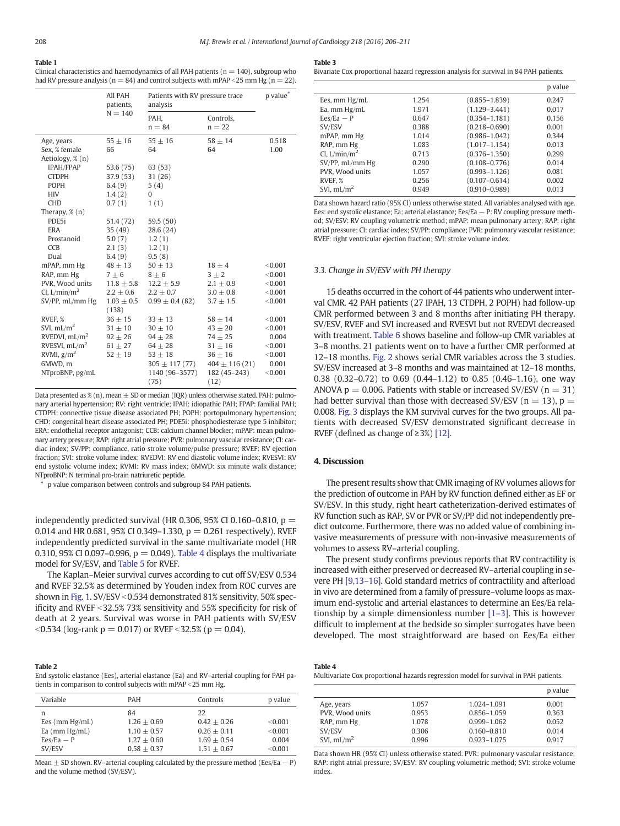# <span id="page-2-0"></span>Table 1

Clinical characteristics and haemodynamics of all PAH patients ( $n = 140$ ), subgroup who had RV pressure analysis ( $n = 84$ ) and control subjects with mPAP < 25 mm Hg ( $n = 22$ ).

|                     | All PAH<br>patients,  | Patients with RV pressure trace<br>analysis |                       | p value* |
|---------------------|-----------------------|---------------------------------------------|-----------------------|----------|
|                     | $N = 140$             | PAH,<br>$n = 84$                            | Controls,<br>$n = 22$ |          |
| Age, years          | $55 + 16$             | $55 + 16$                                   | $58 + 14$             | 0.518    |
| Sex, % female       | 66                    | 64                                          | 64                    | 1.00     |
| Aetiology, % (n)    |                       |                                             |                       |          |
| <b>IPAH/FPAP</b>    | 53.6 (75)             | 63(53)                                      |                       |          |
| <b>CTDPH</b>        | 37.9 (53)             | 31(26)                                      |                       |          |
| <b>POPH</b>         | 6.4(9)                | 5(4)                                        |                       |          |
| <b>HIV</b>          | 1.4(2)                | $\Omega$                                    |                       |          |
| <b>CHD</b>          | 0.7(1)                | 1(1)                                        |                       |          |
| Therapy, $\%$ $(n)$ |                       |                                             |                       |          |
| PDE5i               | 51.4 (72)             | 59.5 (50)                                   |                       |          |
| ERA                 | 35(49)                | 28.6 (24)                                   |                       |          |
| Prostanoid          | 5.0(7)                | 1.2(1)                                      |                       |          |
| <b>CCB</b>          | 2.1(3)                | 1.2(1)                                      |                       |          |
| Dual                | 6.4(9)                | 9.5(8)                                      |                       |          |
| mPAP, mm Hg         | $48 \pm 13$           | $50 \pm 13$                                 | $18 \pm 4$            | < 0.001  |
| RAP, mm Hg          | $7\pm6$               | $8\pm6$                                     | $3 + 2$               | < 0.001  |
| PVR, Wood units     | $11.8 \pm 5.8$        | $12.2 \pm 5.9$                              | $2.1 \pm 0.9$         | < 0.001  |
| CI, $L/min/m2$      | $2.2 \pm 0.6$         | $2.2 \pm 0.7$                               | $3.0 \pm 0.8$         | < 0.001  |
| SV/PP, mL/mm Hg     | $1.03 + 0.5$<br>(138) | $0.99 \pm 0.4$ (82)                         | $3.7 \pm 1.5$         | < 0.001  |
| RVEF, %             | $36 \pm 15$           | $33 \pm 13$                                 | $58 \pm 14$           | < 0.001  |
| SVI, $mL/m2$        | $31 \pm 10$           | $30 \pm 10$                                 | $43 \pm 20$           | < 0.001  |
| RVEDVI, $mL/m2$     | $92 \pm 26$           | $94 \pm 28$                                 | $74 \pm 25$           | 0.004    |
| RVESVI, $mL/m2$     | $61 \pm 27$           | $64 \pm 28$                                 | $31 \pm 16$           | < 0.001  |
| RVMI, $g/m2$        | $52 \pm 19$           | $53 \pm 18$                                 | $36 \pm 16$           | < 0.001  |
| 6MWD, m             |                       | $305 \pm 117(77)$                           | $404 \pm 116(21)$     | 0.001    |
| NTproBNP, pg/mL     |                       | 1140 (96-3577)                              | 182 (45-243)          | < 0.001  |
|                     |                       | (75)                                        | (12)                  |          |

Data presented as  $\%$  (n), mean  $\pm$  SD or median (IQR) unless otherwise stated. PAH: pulmonary arterial hypertension; RV: right ventricle; IPAH: idiopathic PAH; FPAP: familial PAH; CTDPH: connective tissue disease associated PH; POPH: portopulmonary hypertension; CHD: congenital heart disease associated PH; PDE5i: phosphodiesterase type 5 inhibitor; ERA: endothelial receptor antagonist; CCB: calcium channel blocker; mPAP: mean pulmonary artery pressure; RAP: right atrial pressure; PVR: pulmonary vascular resistance; CI: cardiac index; SV/PP: compliance, ratio stroke volume/pulse pressure; RVEF: RV ejection fraction; SVI: stroke volume index; RVEDVI: RV end diastolic volume index; RVESVI: RV end systolic volume index; RVMI: RV mass index; 6MWD: six minute walk distance; NTproBNP: N terminal pro-brain natriuretic peptide.

⁎ p value comparison between controls and subgroup 84 PAH patients.

independently predicted survival (HR 0.306, 95% CI 0.160–0.810,  $p =$ 0.014 and HR 0.681, 95% CI 0.349–1.330,  $p = 0.261$  respectively). RVEF independently predicted survival in the same multivariate model (HR 0.310, 95% CI 0.097–0.996,  $p = 0.049$ ). Table 4 displays the multivariate model for SV/ESV, and [Table 5](#page-3-0) for RVEF.

The Kaplan–Meier survival curves according to cut off SV/ESV 0.534 and RVEF 32.5% as determined by Youden index from ROC curves are shown in [Fig. 1](#page-3-0). SV/ESV < 0.534 demonstrated 81% sensitivity, 50% specificity and RVEF  $<$  32.5% 73% sensitivity and 55% specificity for risk of death at 2 years. Survival was worse in PAH patients with SV/ESV  $\alpha$  = 0.534 (log-rank p = 0.017) or RVEF < 32.5% (p = 0.04).

#### Table 2

End systolic elastance (Ees), arterial elastance (Ea) and RV–arterial coupling for PAH patients in comparison to control subjects with mPAP <25 mm Hg.

| Variable         | <b>PAH</b>    | Controls      | p value |
|------------------|---------------|---------------|---------|
| n                | 84            | 22            |         |
| Ees $(mm Hg/mL)$ | $1.26 + 0.69$ | $0.42 + 0.26$ | <0.001  |
| Ea $(mm Hg/mL)$  | $1.10 + 0.57$ | $0.26 + 0.11$ | < 0.001 |
| $Ees/Ea - P$     | $1.27 + 0.60$ | $1.69 + 0.54$ | 0.004   |
| SV/ESV           | $0.58 + 0.37$ | $1.51 + 0.67$ | < 0.001 |

Mean  $\pm$  SD shown. RV–arterial coupling calculated by the pressure method (Ees/Ea – P) and the volume method (SV/ESV).

#### Table 3

Bivariate Cox proportional hazard regression analysis for survival in 84 PAH patients.

|                    |       |                   | p value |
|--------------------|-------|-------------------|---------|
| Ees, mm Hg/mL      | 1.254 | $(0.855 - 1.839)$ | 0.247   |
| Ea, mm Hg/mL       | 1.971 | $(1.129 - 3.441)$ | 0.017   |
| $Ees/Ea - P$       | 0.647 | $(0.354 - 1.181)$ | 0.156   |
| SV/ESV             | 0.388 | $(0.218 - 0.690)$ | 0.001   |
| mPAP, mm Hg        | 1.014 | $(0.986 - 1.042)$ | 0.344   |
| RAP, mm Hg         | 1.083 | $(1.017 - 1.154)$ | 0.013   |
| CI, $L/min/m2$     | 0.713 | $(0.376 - 1.350)$ | 0.299   |
| $SV/PP$ , mL/mm Hg | 0.290 | $(0.108 - 0.776)$ | 0.014   |
| PVR. Wood units    | 1.057 | $(0.993 - 1.126)$ | 0.081   |
| RVEF.%             | 0.256 | $(0.107 - 0.614)$ | 0.002   |
| SVI. $mL/m2$       | 0.949 | $(0.910 - 0.989)$ | 0.013   |

Data shown hazard ratio (95% CI) unless otherwise stated. All variables analysed with age. Ees: end systolic elastance; Ea: arterial elastance; Ees/Ea − P: RV coupling pressure method; SV/ESV: RV coupling volumetric method; mPAP: mean pulmonary artery; RAP: right atrial pressure; CI: cardiac index; SV/PP: compliance; PVR: pulmonary vascular resistance; RVEF: right ventricular ejection fraction; SVI: stroke volume index.

#### 3.3. Change in SV/ESV with PH therapy

15 deaths occurred in the cohort of 44 patients who underwent interval CMR. 42 PAH patients (27 IPAH, 13 CTDPH, 2 POPH) had follow-up CMR performed between 3 and 8 months after initiating PH therapy. SV/ESV, RVEF and SVI increased and RVESVI but not RVEDVI decreased with treatment. [Table 6](#page-3-0) shows baseline and follow-up CMR variables at 3–8 months. 21 patients went on to have a further CMR performed at 12–18 months. [Fig. 2](#page-4-0) shows serial CMR variables across the 3 studies. SV/ESV increased at 3–8 months and was maintained at 12–18 months, 0.38 (0.32–0.72) to 0.69 (0.44–1.12) to 0.85 (0.46–1.16), one way ANOVA  $p = 0.006$ . Patients with stable or increased SV/ESV ( $n = 31$ ) had better survival than those with decreased SV/ESV ( $n = 13$ ),  $p =$ 0.008. [Fig. 3](#page-4-0) displays the KM survival curves for the two groups. All patients with decreased SV/ESV demonstrated significant decrease in RVEF (defined as change of ≥3%) [\[12\]](#page-5-0).

# 4. Discussion

The present results show that CMR imaging of RV volumes allows for the prediction of outcome in PAH by RV function defined either as EF or SV/ESV. In this study, right heart catheterization-derived estimates of RV function such as RAP, SV or PVR or SV/PP did not independently predict outcome. Furthermore, there was no added value of combining invasive measurements of pressure with non-invasive measurements of volumes to assess RV–arterial coupling.

The present study confirms previous reports that RV contractility is increased with either preserved or decreased RV–arterial coupling in severe PH [\[9,13](#page-5-0)–16]. Gold standard metrics of contractility and afterload in vivo are determined from a family of pressure–volume loops as maximum end-systolic and arterial elastances to determine an Ees/Ea relationship by a simple dimensionless number [1–[3\].](#page-5-0) This is however difficult to implement at the bedside so simpler surrogates have been developed. The most straightforward are based on Ees/Ea either

#### Table 4

Multivariate Cox proportional hazards regression model for survival in PAH patients.

|                 |       |                 | p value |
|-----------------|-------|-----------------|---------|
| Age, years      | 1.057 | 1.024-1.091     | 0.001   |
| PVR. Wood units | 0.953 | 0.856-1.059     | 0.363   |
| RAP, mm Hg      | 1.078 | 0.999-1.062     | 0.052   |
| SV/ESV          | 0.306 | $0.160 - 0.810$ | 0.014   |
| SVI, $mL/m2$    | 0.996 | 0.923-1.075     | 0.917   |

Data shown HR (95% CI) unless otherwise stated. PVR: pulmonary vascular resistance; RAP: right atrial pressure; SV/ESV: RV coupling volumetric method; SVI: stroke volume index.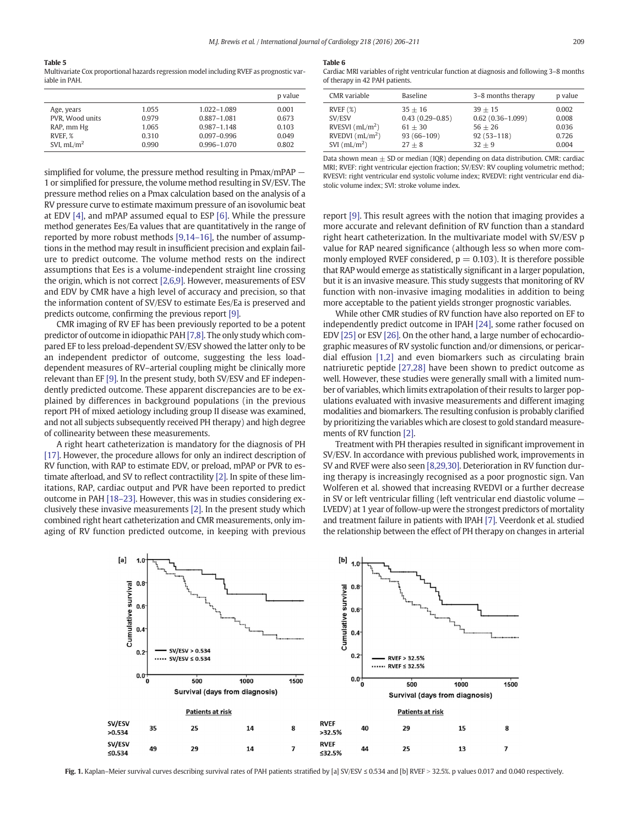#### <span id="page-3-0"></span>Table 5

Multivariate Cox proportional hazards regression model including RVEF as prognostic variable in PAH.

|                 |       |                 | p value |
|-----------------|-------|-----------------|---------|
| Age, years      | 1.055 | 1.022-1.089     | 0.001   |
| PVR. Wood units | 0.979 | 0.887-1.081     | 0.673   |
| RAP, mm Hg      | 1.065 | 0.987-1.148     | 0.103   |
| RVEF, %         | 0.310 | $0.097 - 0.996$ | 0.049   |
| SVI, $mL/m2$    | 0.990 | 0.996-1.070     | 0.802   |

simplified for volume, the pressure method resulting in Pmax/mPAP – 1 or simplified for pressure, the volume method resulting in SV/ESV. The pressure method relies on a Pmax calculation based on the analysis of a RV pressure curve to estimate maximum pressure of an isovolumic beat at EDV [\[4\]](#page-5-0), and mPAP assumed equal to ESP [\[6\].](#page-5-0) While the pressure method generates Ees/Ea values that are quantitatively in the range of reported by more robust methods [\[9,14](#page-5-0)–16], the number of assumptions in the method may result in insufficient precision and explain failure to predict outcome. The volume method rests on the indirect assumptions that Ees is a volume-independent straight line crossing the origin, which is not correct [\[2,6,9\]](#page-5-0). However, measurements of ESV and EDV by CMR have a high level of accuracy and precision, so that the information content of SV/ESV to estimate Ees/Ea is preserved and predicts outcome, confirming the previous report [\[9\].](#page-5-0)

CMR imaging of RV EF has been previously reported to be a potent predictor of outcome in idiopathic PAH [\[7,8\].](#page-5-0) The only study which compared EF to less preload-dependent SV/ESV showed the latter only to be an independent predictor of outcome, suggesting the less loaddependent measures of RV–arterial coupling might be clinically more relevant than EF [\[9\].](#page-5-0) In the present study, both SV/ESV and EF independently predicted outcome. These apparent discrepancies are to be explained by differences in background populations (in the previous report PH of mixed aetiology including group II disease was examined, and not all subjects subsequently received PH therapy) and high degree of collinearity between these measurements.

A right heart catheterization is mandatory for the diagnosis of PH [\[17\].](#page-5-0) However, the procedure allows for only an indirect description of RV function, with RAP to estimate EDV, or preload, mPAP or PVR to estimate afterload, and SV to reflect contractility [\[2\]](#page-5-0). In spite of these limitations, RAP, cardiac output and PVR have been reported to predict outcome in PAH [\[18](#page-5-0)–23]. However, this was in studies considering exclusively these invasive measurements [\[2\]](#page-5-0). In the present study which combined right heart catheterization and CMR measurements, only imaging of RV function predicted outcome, in keeping with previous

#### Table 6

Cardiac MRI variables of right ventricular function at diagnosis and following 3–8 months of therapy in 42 PAH patients.

| CMR variable     | Baseline            | 3-8 months therapy   | p value |
|------------------|---------------------|----------------------|---------|
| RVEF(%)          | $35 + 16$           | $39 + 15$            | 0.002   |
| SV/ESV           | $0.43(0.29 - 0.85)$ | $0.62(0.36 - 1.099)$ | 0.008   |
| RVESVI $(mL/m2)$ | $61 + 30$           | $56 + 26$            | 0.036   |
| RVEDVI $(mL/m2)$ | $93(66-109)$        | $92(53 - 118)$       | 0.726   |
| SVI $(mL/m2)$    | $27 + 8$            | $32 + 9$             | 0.004   |

Data shown mean  $\pm$  SD or median (IQR) depending on data distribution. CMR: cardiac MRI; RVEF: right ventricular ejection fraction; SV/ESV: RV coupling volumetric method; RVESVI: right ventricular end systolic volume index; RVEDVI: right ventricular end diastolic volume index; SVI: stroke volume index.

report [\[9\].](#page-5-0) This result agrees with the notion that imaging provides a more accurate and relevant definition of RV function than a standard right heart catheterization. In the multivariate model with SV/ESV p value for RAP neared significance (although less so when more commonly employed RVEF considered,  $p = 0.103$ ). It is therefore possible that RAP would emerge as statistically significant in a larger population, but it is an invasive measure. This study suggests that monitoring of RV function with non-invasive imaging modalities in addition to being more acceptable to the patient yields stronger prognostic variables.

While other CMR studies of RV function have also reported on EF to independently predict outcome in IPAH [\[24\],](#page-5-0) some rather focused on EDV [\[25\]](#page-5-0) or ESV [\[26\]](#page-5-0). On the other hand, a large number of echocardiographic measures of RV systolic function and/or dimensions, or pericardial effusion [\[1,2\]](#page-5-0) and even biomarkers such as circulating brain natriuretic peptide [\[27,28\]](#page-5-0) have been shown to predict outcome as well. However, these studies were generally small with a limited number of variables, which limits extrapolation of their results to larger populations evaluated with invasive measurements and different imaging modalities and biomarkers. The resulting confusion is probably clarified by prioritizing the variables which are closest to gold standard measurements of RV function [\[2\]](#page-5-0).

Treatment with PH therapies resulted in significant improvement in SV/ESV. In accordance with previous published work, improvements in SV and RVEF were also seen [\[8,29,30\]](#page-5-0). Deterioration in RV function during therapy is increasingly recognised as a poor prognostic sign. Van Wolferen et al. showed that increasing RVEDVI or a further decrease in SV or left ventricular filling (left ventricular end diastolic volume — LVEDV) at 1 year of follow-up were the strongest predictors of mortality and treatment failure in patients with IPAH [\[7\].](#page-5-0) Veerdonk et al. studied the relationship between the effect of PH therapy on changes in arterial



Fig. 1. Kaplan–Meier survival curves describing survival rates of PAH patients stratified by [a] SV/ESV ≤ 0.534 and [b] RVEF > 32.5%, p values 0.017 and 0.040 respectively.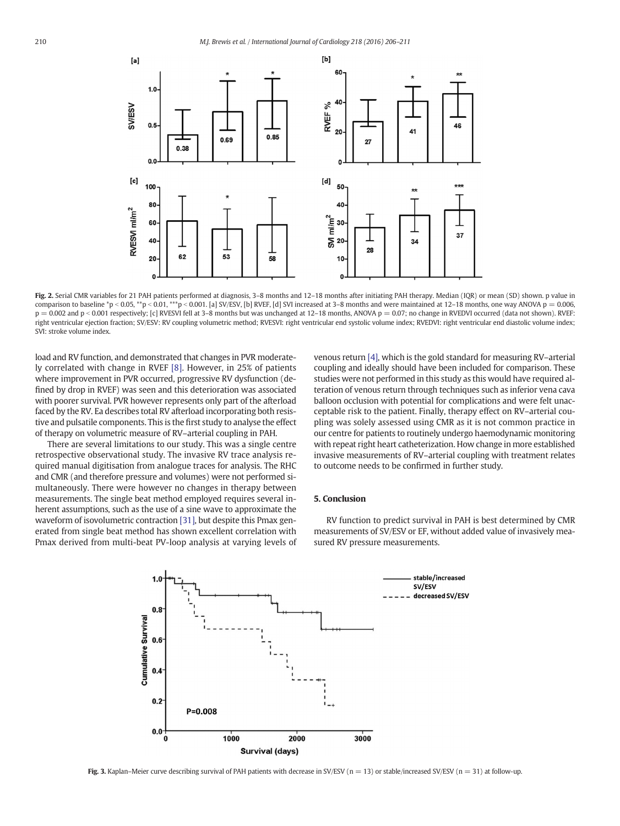<span id="page-4-0"></span>

Fig. 2. Serial CMR variables for 21 PAH patients performed at diagnosis, 3–8 months and 12–18 months after initiating PAH therapy. Median (IOR) or mean (SD) shown. p value in comparison to baseline \*p < 0.05, \*\*p < 0.01, \*\*\*p < 0.001. [a] SV/ESV, [b] RVEF, [d] SVI increased at 3-8 months and were maintained at 12-18 months, one way ANOVA p = 0.006,  $p = 0.002$  and  $p < 0.001$  respectively; [c] RVESVI fell at 3–8 months but was unchanged at 12–18 months, ANOVA  $p = 0.07$ ; no change in RVEDVI occurred (data not shown). RVEF: right ventricular ejection fraction; SV/ESV: RV coupling volumetric method; RVESVI: right ventricular end systolic volume index; RVEDVI: right ventricular end diastolic volume index; SVI: stroke volume index.

load and RV function, and demonstrated that changes in PVR moderately correlated with change in RVEF [\[8\].](#page-5-0) However, in 25% of patients where improvement in PVR occurred, progressive RV dysfunction (defined by drop in RVEF) was seen and this deterioration was associated with poorer survival. PVR however represents only part of the afterload faced by the RV. Ea describes total RV afterload incorporating both resistive and pulsatile components. This is the first study to analyse the effect of therapy on volumetric measure of RV–arterial coupling in PAH.

There are several limitations to our study. This was a single centre retrospective observational study. The invasive RV trace analysis required manual digitisation from analogue traces for analysis. The RHC and CMR (and therefore pressure and volumes) were not performed simultaneously. There were however no changes in therapy between measurements. The single beat method employed requires several inherent assumptions, such as the use of a sine wave to approximate the waveform of isovolumetric contraction [\[31\]](#page-5-0), but despite this Pmax generated from single beat method has shown excellent correlation with Pmax derived from multi-beat PV-loop analysis at varying levels of venous return [\[4\]](#page-5-0), which is the gold standard for measuring RV–arterial coupling and ideally should have been included for comparison. These studies were not performed in this study as this would have required alteration of venous return through techniques such as inferior vena cava balloon occlusion with potential for complications and were felt unacceptable risk to the patient. Finally, therapy effect on RV–arterial coupling was solely assessed using CMR as it is not common practice in our centre for patients to routinely undergo haemodynamic monitoring with repeat right heart catheterization. How change in more established invasive measurements of RV–arterial coupling with treatment relates to outcome needs to be confirmed in further study.

# 5. Conclusion

RV function to predict survival in PAH is best determined by CMR measurements of SV/ESV or EF, without added value of invasively measured RV pressure measurements.



Fig. 3. Kaplan–Meier curve describing survival of PAH patients with decrease in SV/ESV (n = 13) or stable/increased SV/ESV (n = 31) at follow-up.